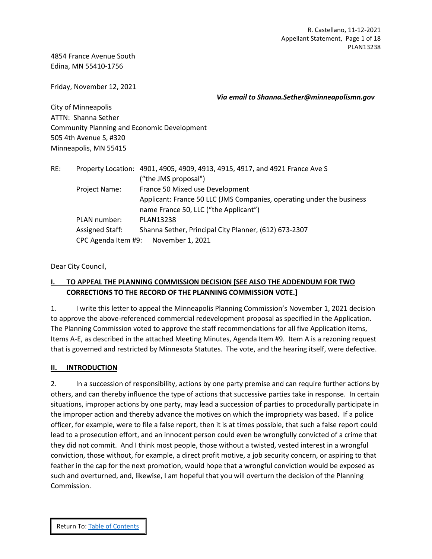4854 France Avenue South Edina, MN 55410-1756

Friday, November 12, 2021

*Via email to Shanna.Sether@minneapolismn.gov*

City of Minneapolis ATTN: Shanna Sether Community Planning and Economic Development 505 4th Avenue S, #320 Minneapolis, MN 55415

| RE: |                 | Property Location: 4901, 4905, 4909, 4913, 4915, 4917, and 4921 France Ave S |  |  |  |  |
|-----|-----------------|------------------------------------------------------------------------------|--|--|--|--|
|     |                 | ("the JMS proposal")                                                         |  |  |  |  |
|     | Project Name:   | France 50 Mixed use Development                                              |  |  |  |  |
|     |                 | Applicant: France 50 LLC (JMS Companies, operating under the business        |  |  |  |  |
|     |                 | name France 50, LLC ("the Applicant")                                        |  |  |  |  |
|     | PLAN number:    | <b>PLAN13238</b>                                                             |  |  |  |  |
|     | Assigned Staff: | Shanna Sether, Principal City Planner, (612) 673-2307                        |  |  |  |  |
|     |                 | CPC Agenda Item #9: November 1, 2021                                         |  |  |  |  |

Dear City Council,

## <span id="page-0-0"></span>**I. TO APPEAL THE PLANNING COMMISSION DECISION [SEE ALSO THE ADDENDUM FOR TWO CORRECTIONS TO THE RECORD OF THE PLANNING COMMISSION VOTE.]**

1. I write this letter to appeal the Minneapolis Planning Commission's November 1, 2021 decision to approve the above-referenced commercial redevelopment proposal as specified in the Application. The Planning Commission voted to approve the staff recommendations for all five Application items, Items A-E, as described in the attached Meeting Minutes, Agenda Item #9. Item A is a rezoning request that is governed and restricted by Minnesota Statutes. The vote, and the hearing itself, were defective.

## <span id="page-0-1"></span>**II. INTRODUCTION**

2. In a succession of responsibility, actions by one party premise and can require further actions by others, and can thereby influence the type of actions that successive parties take in response. In certain situations, improper actions by one party, may lead a succession of parties to procedurally participate in the improper action and thereby advance the motives on which the impropriety was based. If a police officer, for example, were to file a false report, then it is at times possible, that such a false report could lead to a prosecution effort, and an innocent person could even be wrongfully convicted of a crime that they did not commit. And I think most people, those without a twisted, vested interest in a wrongful conviction, those without, for example, a direct profit motive, a job security concern, or aspiring to that feather in the cap for the next promotion, would hope that a wrongful conviction would be exposed as such and overturned, and, likewise, I am hopeful that you will overturn the decision of the Planning Commission.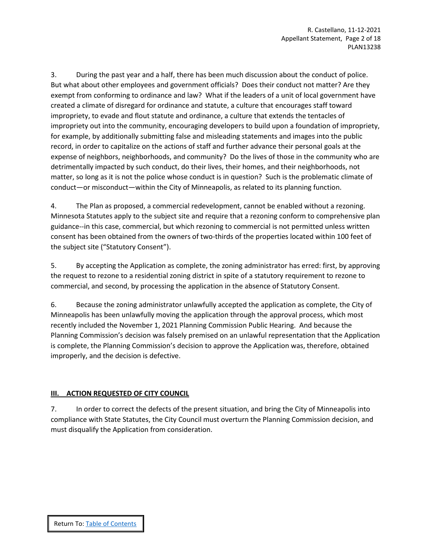3. During the past year and a half, there has been much discussion about the conduct of police. But what about other employees and government officials? Does their conduct not matter? Are they exempt from conforming to ordinance and law? What if the leaders of a unit of local government have created a climate of disregard for ordinance and statute, a culture that encourages staff toward impropriety, to evade and flout statute and ordinance, a culture that extends the tentacles of impropriety out into the community, encouraging developers to build upon a foundation of impropriety, for example, by additionally submitting false and misleading statements and images into the public record, in order to capitalize on the actions of staff and further advance their personal goals at the expense of neighbors, neighborhoods, and community? Do the lives of those in the community who are detrimentally impacted by such conduct, do their lives, their homes, and their neighborhoods, not matter, so long as it is not the police whose conduct is in question? Such is the problematic climate of conduct—or misconduct—within the City of Minneapolis, as related to its planning function.

4. The Plan as proposed, a commercial redevelopment, cannot be enabled without a rezoning. Minnesota Statutes apply to the subject site and require that a rezoning conform to comprehensive plan guidance--in this case, commercial, but which rezoning to commercial is not permitted unless written consent has been obtained from the owners of two-thirds of the properties located within 100 feet of the subject site ("Statutory Consent").

5. By accepting the Application as complete, the zoning administrator has erred: first, by approving the request to rezone to a residential zoning district in spite of a statutory requirement to rezone to commercial, and second, by processing the application in the absence of Statutory Consent.

6. Because the zoning administrator unlawfully accepted the application as complete, the City of Minneapolis has been unlawfully moving the application through the approval process, which most recently included the November 1, 2021 Planning Commission Public Hearing. And because the Planning Commission's decision was falsely premised on an unlawful representation that the Application is complete, the Planning Commission's decision to approve the Application was, therefore, obtained improperly, and the decision is defective.

## <span id="page-1-0"></span>**III. ACTION REQUESTED OF CITY COUNCIL**

7. In order to correct the defects of the present situation, and bring the City of Minneapolis into compliance with State Statutes, the City Council must overturn the Planning Commission decision, and must disqualify the Application from consideration.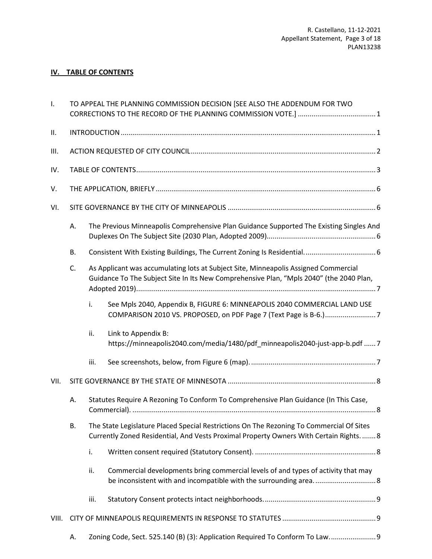# **IV. TABLE OF CONTENTS**

<span id="page-2-0"></span>

| Ι.    | TO APPEAL THE PLANNING COMMISSION DECISION [SEE ALSO THE ADDENDUM FOR TWO                                                                                                                        |                                                                                         |                                                                                                                                               |  |  |  |
|-------|--------------------------------------------------------------------------------------------------------------------------------------------------------------------------------------------------|-----------------------------------------------------------------------------------------|-----------------------------------------------------------------------------------------------------------------------------------------------|--|--|--|
| Ш.    |                                                                                                                                                                                                  |                                                                                         |                                                                                                                                               |  |  |  |
| III.  |                                                                                                                                                                                                  |                                                                                         |                                                                                                                                               |  |  |  |
| IV.   |                                                                                                                                                                                                  |                                                                                         |                                                                                                                                               |  |  |  |
| V.    |                                                                                                                                                                                                  |                                                                                         |                                                                                                                                               |  |  |  |
| VI.   |                                                                                                                                                                                                  |                                                                                         |                                                                                                                                               |  |  |  |
|       | А.                                                                                                                                                                                               | The Previous Minneapolis Comprehensive Plan Guidance Supported The Existing Singles And |                                                                                                                                               |  |  |  |
|       | <b>B.</b>                                                                                                                                                                                        |                                                                                         |                                                                                                                                               |  |  |  |
|       | As Applicant was accumulating lots at Subject Site, Minneapolis Assigned Commercial<br>C.<br>Guidance To The Subject Site In Its New Comprehensive Plan, "Mpls 2040" (the 2040 Plan,             |                                                                                         |                                                                                                                                               |  |  |  |
|       |                                                                                                                                                                                                  | i.                                                                                      | See Mpls 2040, Appendix B, FIGURE 6: MINNEAPOLIS 2040 COMMERCIAL LAND USE<br>COMPARISON 2010 VS. PROPOSED, on PDF Page 7 (Text Page is B-6.)7 |  |  |  |
|       |                                                                                                                                                                                                  | ii.                                                                                     | Link to Appendix B:<br>https://minneapolis2040.com/media/1480/pdf_minneapolis2040-just-app-b.pdf 7                                            |  |  |  |
|       |                                                                                                                                                                                                  | iii.                                                                                    |                                                                                                                                               |  |  |  |
| VII.  |                                                                                                                                                                                                  |                                                                                         |                                                                                                                                               |  |  |  |
|       | А.                                                                                                                                                                                               |                                                                                         | Statutes Require A Rezoning To Conform To Comprehensive Plan Guidance (In This Case,                                                          |  |  |  |
|       | The State Legislature Placed Special Restrictions On The Rezoning To Commercial Of Sites<br><b>B.</b><br>Currently Zoned Residential, And Vests Proximal Property Owners With Certain Rights.  8 |                                                                                         |                                                                                                                                               |  |  |  |
|       |                                                                                                                                                                                                  | i.                                                                                      |                                                                                                                                               |  |  |  |
|       |                                                                                                                                                                                                  | ii.                                                                                     | Commercial developments bring commercial levels of and types of activity that may                                                             |  |  |  |
|       |                                                                                                                                                                                                  | iii.                                                                                    |                                                                                                                                               |  |  |  |
| VIII. |                                                                                                                                                                                                  |                                                                                         |                                                                                                                                               |  |  |  |
|       | А.                                                                                                                                                                                               |                                                                                         | Zoning Code, Sect. 525.140 (B) (3): Application Required To Conform To Law 9                                                                  |  |  |  |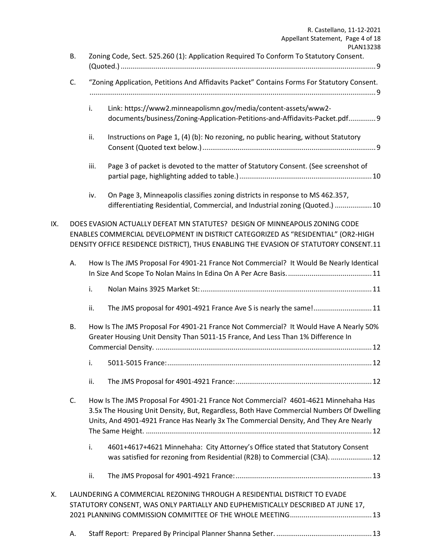|                                                                                               |                                                                                             | R. Castellano, 11-12-2021<br>Appellant Statement, Page 4 of 18                                                                                                                                                                                                          |  |  |  |
|-----------------------------------------------------------------------------------------------|---------------------------------------------------------------------------------------------|-------------------------------------------------------------------------------------------------------------------------------------------------------------------------------------------------------------------------------------------------------------------------|--|--|--|
|                                                                                               |                                                                                             | PLAN13238<br>Zoning Code, Sect. 525.260 (1): Application Required To Conform To Statutory Consent.                                                                                                                                                                      |  |  |  |
|                                                                                               |                                                                                             |                                                                                                                                                                                                                                                                         |  |  |  |
| C.                                                                                            | "Zoning Application, Petitions And Affidavits Packet" Contains Forms For Statutory Consent. |                                                                                                                                                                                                                                                                         |  |  |  |
|                                                                                               |                                                                                             |                                                                                                                                                                                                                                                                         |  |  |  |
|                                                                                               |                                                                                             | Link: https://www2.minneapolismn.gov/media/content-assets/www2-<br>documents/business/Zoning-Application-Petitions-and-Affidavits-Packet.pdf 9                                                                                                                          |  |  |  |
|                                                                                               | ii.                                                                                         | Instructions on Page 1, (4) (b): No rezoning, no public hearing, without Statutory                                                                                                                                                                                      |  |  |  |
|                                                                                               | iii.                                                                                        | Page 3 of packet is devoted to the matter of Statutory Consent. (See screenshot of                                                                                                                                                                                      |  |  |  |
|                                                                                               | iv.                                                                                         | On Page 3, Minneapolis classifies zoning districts in response to MS 462.357,                                                                                                                                                                                           |  |  |  |
|                                                                                               |                                                                                             | differentiating Residential, Commercial, and Industrial zoning (Quoted.)  10                                                                                                                                                                                            |  |  |  |
|                                                                                               |                                                                                             | DOES EVASION ACTUALLY DEFEAT MN STATUTES? DESIGN OF MINNEAPOLIS ZONING CODE<br>ENABLES COMMERCIAL DEVELOPMENT IN DISTRICT CATEGORIZED AS "RESIDENTIAL" (OR2-HIGH<br>DENSITY OFFICE RESIDENCE DISTRICT), THUS ENABLING THE EVASION OF STATUTORY CONSENT.11               |  |  |  |
| How Is The JMS Proposal For 4901-21 France Not Commercial? It Would Be Nearly Identical<br>А. |                                                                                             |                                                                                                                                                                                                                                                                         |  |  |  |
|                                                                                               | i.                                                                                          |                                                                                                                                                                                                                                                                         |  |  |  |
|                                                                                               | ii.                                                                                         | The JMS proposal for 4901-4921 France Ave S is nearly the same!11                                                                                                                                                                                                       |  |  |  |
| В.                                                                                            |                                                                                             | How Is The JMS Proposal For 4901-21 France Not Commercial? It Would Have A Nearly 50%<br>Greater Housing Unit Density Than 5011-15 France, And Less Than 1% Difference In                                                                                               |  |  |  |
|                                                                                               |                                                                                             |                                                                                                                                                                                                                                                                         |  |  |  |
|                                                                                               |                                                                                             |                                                                                                                                                                                                                                                                         |  |  |  |
|                                                                                               | ii.                                                                                         |                                                                                                                                                                                                                                                                         |  |  |  |
| C.                                                                                            |                                                                                             | How Is The JMS Proposal For 4901-21 France Not Commercial? 4601-4621 Minnehaha Has<br>3.5x The Housing Unit Density, But, Regardless, Both Have Commercial Numbers Of Dwelling<br>Units, And 4901-4921 France Has Nearly 3x The Commercial Density, And They Are Nearly |  |  |  |
|                                                                                               | i.                                                                                          | 4601+4617+4621 Minnehaha: City Attorney's Office stated that Statutory Consent<br>was satisfied for rezoning from Residential (R2B) to Commercial (C3A).  12                                                                                                            |  |  |  |
|                                                                                               | ii.                                                                                         |                                                                                                                                                                                                                                                                         |  |  |  |
|                                                                                               |                                                                                             | LAUNDERING A COMMERCIAL REZONING THROUGH A RESIDENTIAL DISTRICT TO EVADE<br>STATUTORY CONSENT, WAS ONLY PARTIALLY AND EUPHEMISTICALLY DESCRIBED AT JUNE 17,                                                                                                             |  |  |  |
|                                                                                               |                                                                                             |                                                                                                                                                                                                                                                                         |  |  |  |
|                                                                                               | <b>B.</b><br>А.                                                                             | i.<br>i.                                                                                                                                                                                                                                                                |  |  |  |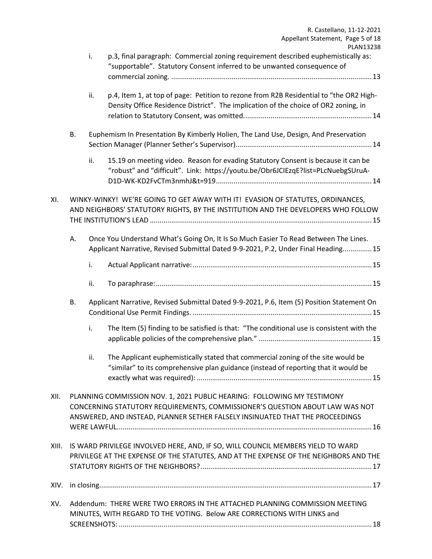|       |                                                                                                                                                                                                                                          |     | R. Castellano, 11-12-2021<br>Appellant Statement, Page 5 of 18                                                                                                                |  |  |
|-------|------------------------------------------------------------------------------------------------------------------------------------------------------------------------------------------------------------------------------------------|-----|-------------------------------------------------------------------------------------------------------------------------------------------------------------------------------|--|--|
|       |                                                                                                                                                                                                                                          | i.  | PLAN13238<br>p.3, final paragraph: Commercial zoning requirement described euphemistically as:<br>"supportable". Statutory Consent inferred to be unwanted consequence of     |  |  |
|       |                                                                                                                                                                                                                                          | ii. | p.4, Item 1, at top of page: Petition to rezone from R2B Residential to "the OR2 High-<br>Density Office Residence District". The implication of the choice of OR2 zoning, in |  |  |
|       | <b>B.</b>                                                                                                                                                                                                                                |     | Euphemism In Presentation By Kimberly Holien, The Land Use, Design, And Preservation                                                                                          |  |  |
|       |                                                                                                                                                                                                                                          | ii. | 15.19 on meeting video. Reason for evading Statutory Consent is because it can be<br>"robust" and "difficult". Link: https://youtu.be/Obr6JCIEzqE?list=PLcNuebgSUruA-         |  |  |
| XI.   |                                                                                                                                                                                                                                          |     | WINKY-WINKY! WE'RE GOING TO GET AWAY WITH IT! EVASION OF STATUTES, ORDINANCES,<br>AND NEIGHBORS' STATUTORY RIGHTS, BY THE INSTITUTION AND THE DEVELOPERS WHO FOLLOW           |  |  |
|       | А.                                                                                                                                                                                                                                       |     | Once You Understand What's Going On, It Is So Much Easier To Read Between The Lines.<br>Applicant Narrative, Revised Submittal Dated 9-9-2021, P.2, Under Final Heading 15    |  |  |
|       |                                                                                                                                                                                                                                          | i.  |                                                                                                                                                                               |  |  |
|       |                                                                                                                                                                                                                                          | ii. |                                                                                                                                                                               |  |  |
|       | В.                                                                                                                                                                                                                                       |     | Applicant Narrative, Revised Submittal Dated 9-9-2021, P.6, Item (5) Position Statement On                                                                                    |  |  |
|       |                                                                                                                                                                                                                                          | i.  | The Item (5) finding to be satisfied is that: "The conditional use is consistent with the                                                                                     |  |  |
|       |                                                                                                                                                                                                                                          | ii. | The Applicant euphemistically stated that commercial zoning of the site would be<br>"similar" to its comprehensive plan guidance (instead of reporting that it would be       |  |  |
| XII.  | PLANNING COMMISSION NOV. 1, 2021 PUBLIC HEARING: FOLLOWING MY TESTIMONY<br>CONCERNING STATUTORY REQUIREMENTS, COMMISSIONER'S QUESTION ABOUT LAW WAS NOT<br>ANSWERED, AND INSTEAD, PLANNER SETHER FALSELY INSINUATED THAT THE PROCEEDINGS |     |                                                                                                                                                                               |  |  |
| XIII. |                                                                                                                                                                                                                                          |     | IS WARD PRIVILEGE INVOLVED HERE, AND, IF SO, WILL COUNCIL MEMBERS YIELD TO WARD<br>PRIVILEGE AT THE EXPENSE OF THE STATUTES, AND AT THE EXPENSE OF THE NEIGHBORS AND THE      |  |  |
| XIV.  |                                                                                                                                                                                                                                          |     |                                                                                                                                                                               |  |  |
| XV.   |                                                                                                                                                                                                                                          |     | Addendum: THERE WERE TWO ERRORS IN THE ATTACHED PLANNING COMMISSION MEETING<br>MINUTES, WITH REGARD TO THE VOTING. Below ARE CORRECTIONS WITH LINKS and                       |  |  |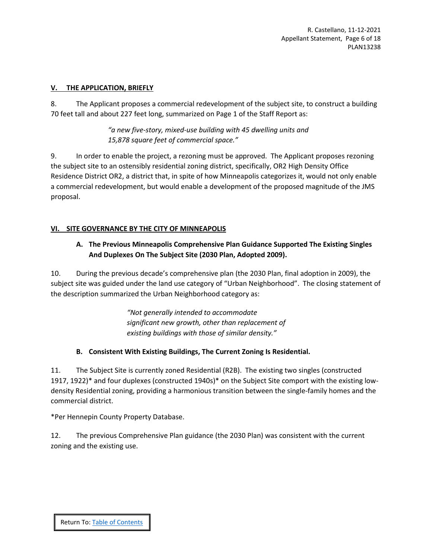#### <span id="page-5-0"></span>**V. THE APPLICATION, BRIEFLY**

8. The Applicant proposes a commercial redevelopment of the subject site, to construct a building 70 feet tall and about 227 feet long, summarized on Page 1 of the Staff Report as:

> *"a new five-story, mixed-use building with 45 dwelling units and 15,878 square feet of commercial space."*

9. In order to enable the project, a rezoning must be approved. The Applicant proposes rezoning the subject site to an ostensibly residential zoning district, specifically, OR2 High Density Office Residence District OR2, a district that, in spite of how Minneapolis categorizes it, would not only enable a commercial redevelopment, but would enable a development of the proposed magnitude of the JMS proposal.

## <span id="page-5-2"></span><span id="page-5-1"></span>**VI. SITE GOVERNANCE BY THE CITY OF MINNEAPOLIS**

## **A. The Previous Minneapolis Comprehensive Plan Guidance Supported The Existing Singles And Duplexes On The Subject Site (2030 Plan, Adopted 2009).**

10. During the previous decade's comprehensive plan (the 2030 Plan, final adoption in 2009), the subject site was guided under the land use category of "Urban Neighborhood". The closing statement of the description summarized the Urban Neighborhood category as:

> *"Not generally intended to accommodate significant new growth, other than replacement of existing buildings with those of similar density."*

## **B. Consistent With Existing Buildings, The Current Zoning Is Residential.**

<span id="page-5-3"></span>11. The Subject Site is currently zoned Residential (R2B). The existing two singles (constructed 1917, 1922)\* and four duplexes (constructed 1940s)\* on the Subject Site comport with the existing lowdensity Residential zoning, providing a harmonious transition between the single-family homes and the commercial district.

\*Per Hennepin County Property Database.

12. The previous Comprehensive Plan guidance (the 2030 Plan) was consistent with the current zoning and the existing use.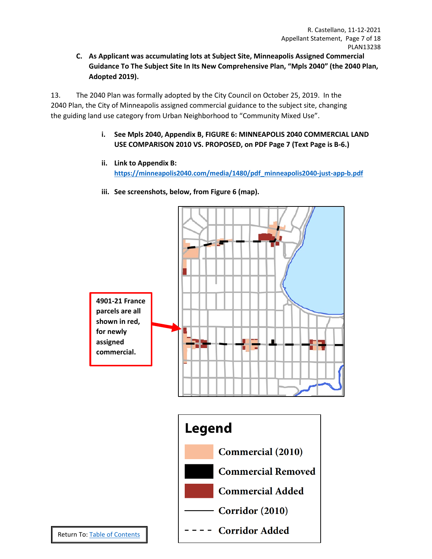<span id="page-6-0"></span>**C. As Applicant was accumulating lots at Subject Site, Minneapolis Assigned Commercial Guidance To The Subject Site In Its New Comprehensive Plan, "Mpls 2040" (the 2040 Plan, Adopted 2019).**

<span id="page-6-1"></span>13. The 2040 Plan was formally adopted by the City Council on October 25, 2019. In the 2040 Plan, the City of Minneapolis assigned commercial guidance to the subject site, changing the guiding land use category from Urban Neighborhood to "Community Mixed Use".

- **i. See Mpls 2040, Appendix B, FIGURE 6: MINNEAPOLIS 2040 COMMERCIAL LAND USE COMPARISON 2010 VS. PROPOSED, on PDF Page 7 (Text Page is B-6.)**
- **ii. Link to Appendix B: [https://minneapolis2040.com/media/1480/pdf\\_minneapolis2040-just-app-b.pdf](https://minneapolis2040.com/media/1480/pdf_minneapolis2040-just-app-b.pdf)**
- **iii. See screenshots, below, from Figure 6 (map).**

<span id="page-6-3"></span><span id="page-6-2"></span>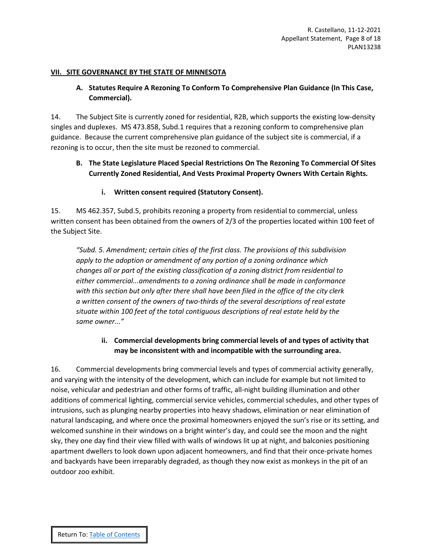#### <span id="page-7-1"></span><span id="page-7-0"></span>**VII. SITE GOVERNANCE BY THE STATE OF MINNESOTA**

# **A. Statutes Require A Rezoning To Conform To Comprehensive Plan Guidance (In This Case, Commercial).**

14. The Subject Site is currently zoned for residential, R2B, which supports the existing low-density singles and duplexes. MS 473.858, Subd.1 requires that a rezoning conform to comprehensive plan guidance. Because the current comprehensive plan guidance of the subject site is commercial, if a rezoning is to occur, then the site must be rezoned to commercial.

# <span id="page-7-2"></span>**B. The State Legislature Placed Special Restrictions On The Rezoning To Commercial Of Sites Currently Zoned Residential, And Vests Proximal Property Owners With Certain Rights.**

## **i. Written consent required (Statutory Consent).**

<span id="page-7-3"></span>15. MS 462.357, Subd.5, prohibits rezoning a property from residential to commercial, unless written consent has been obtained from the owners of 2/3 of the properties located within 100 feet of the Subject Site.

*"Subd. 5. Amendment; certain cities of the first class. The provisions of this subdivision apply to the adoption or amendment of any portion of a zoning ordinance which changes all or part of the existing classification of a zoning district from residential to either commercial...amendments to a zoning ordinance shall be made in conformance with this section but only after there shall have been filed in the office of the city clerk a written consent of the owners of two-thirds of the several descriptions of real estate situate within 100 feet of the total contiguous descriptions of real estate held by the same owner..."*

## **ii. Commercial developments bring commercial levels of and types of activity that may be inconsistent with and incompatible with the surrounding area.**

<span id="page-7-4"></span>16. Commercial developments bring commercial levels and types of commercial activity generally, and varying with the intensity of the development, which can include for example but not limited to noise, vehicular and pedestrian and other forms of traffic, all-night building illumination and other additions of commerical lighting, commercial service vehicles, commercial schedules, and other types of intrusions, such as plunging nearby properties into heavy shadows, elimination or near elimination of natural landscaping, and where once the proximal homeowners enjoyed the sun's rise or its setting, and welcomed sunshine in their windows on a bright winter's day, and could see the moon and the night sky, they one day find their view filled with walls of windows lit up at night, and balconies positioning apartment dwellers to look down upon adjacent homeowners, and find that their once-private homes and backyards have been irreparably degraded, as though they now exist as monkeys in the pit of an outdoor zoo exhibit.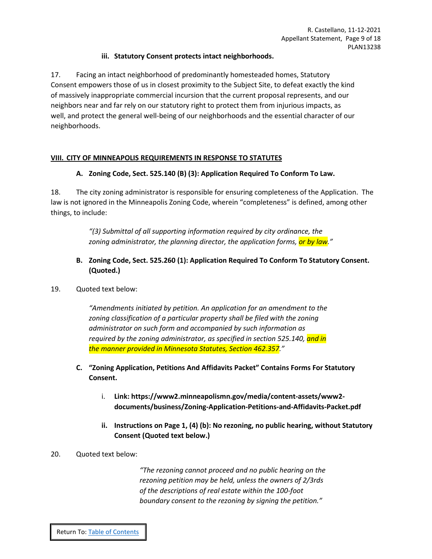## **iii. Statutory Consent protects intact neighborhoods.**

<span id="page-8-0"></span>17. Facing an intact neighborhood of predominantly homesteaded homes, Statutory Consent empowers those of us in closest proximity to the Subject Site, to defeat exactly the kind of massively inappropriate commercial incursion that the current proposal represents, and our neighbors near and far rely on our statutory right to protect them from injurious impacts, as well, and protect the general well-being of our neighborhoods and the essential character of our neighborhoods.

## <span id="page-8-2"></span><span id="page-8-1"></span>**VIII. CITY OF MINNEAPOLIS REQUIREMENTS IN RESPONSE TO STATUTES**

## **A. Zoning Code, Sect. 525.140 (B) (3): Application Required To Conform To Law.**

18. The city zoning administrator is responsible for ensuring completeness of the Application. The law is not ignored in the Minneapolis Zoning Code, wherein "completeness" is defined, among other things, to include:

> *"(3) Submittal of all supporting information required by city ordinance, the zoning administrator, the planning director, the application forms, or by law."*

## <span id="page-8-3"></span>**B. Zoning Code, Sect. 525.260 (1): Application Required To Conform To Statutory Consent. (Quoted.)**

## 19. Quoted text below:

*"Amendments initiated by petition. An application for an amendment to the*  zoning classification of a particular property shall be filed with the zoning *administrator on such form and accompanied by such information as required by the zoning administrator, as specified in section 525.140, and in the manner provided in Minnesota Statutes, Section 462.357."*

## <span id="page-8-5"></span><span id="page-8-4"></span>**C. "Zoning Application, Petitions And Affidavits Packet" Contains Forms For Statutory Consent.**

- i. **Link: [https://www2.minneapolismn.gov/media/content-assets/www2](https://www2.minneapolismn.gov/media/content-assets/www2-documents/business/Zoning-Application-Petitions-and-Affidavits-Packet.pdf) [documents/business/Zoning-Application-Petitions-and-Affidavits-Packet.pdf](https://www2.minneapolismn.gov/media/content-assets/www2-documents/business/Zoning-Application-Petitions-and-Affidavits-Packet.pdf)**
- **ii. Instructions on Page 1, (4) (b): No rezoning, no public hearing, without Statutory Consent (Quoted text below.)**

## <span id="page-8-6"></span>20. Quoted text below:

*"The rezoning cannot proceed and no public hearing on the rezoning petition may be held, unless the owners of 2/3rds of the descriptions of real estate within the 100-foot boundary consent to the rezoning by signing the petition."*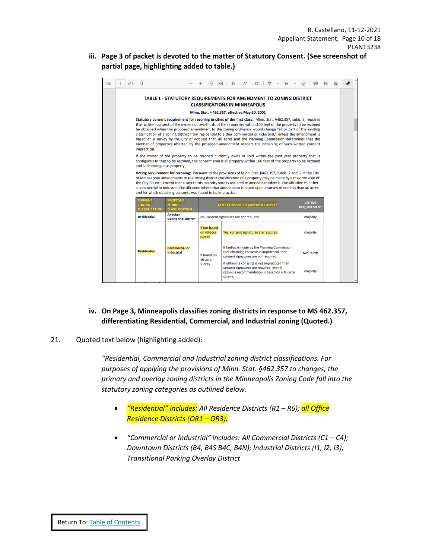<span id="page-9-0"></span>**iii. Page 3 of packet is devoted to the matter of Statutory Consent. (See screenshot of partial page, highlighting added to table.)**

| ≔ | Q<br>of 11<br>$\mathcal{R}$                                                                                                                                                                                                                                                                                                                                                                                                                                                                                                                                                                                                                                                                                |                       |                                                           | ∩<br>$\leftarrow$                    | $CD \mid A^{\wedge}$<br>(T)<br>∀<br>₩                                                                                                                  | क़                                  | 周<br>$\mathbb{R}$ |  |
|---|------------------------------------------------------------------------------------------------------------------------------------------------------------------------------------------------------------------------------------------------------------------------------------------------------------------------------------------------------------------------------------------------------------------------------------------------------------------------------------------------------------------------------------------------------------------------------------------------------------------------------------------------------------------------------------------------------------|-----------------------|-----------------------------------------------------------|--------------------------------------|--------------------------------------------------------------------------------------------------------------------------------------------------------|-------------------------------------|-------------------|--|
|   | TABLE 1 - STATUTORY REQUIREMENTS FOR AMENDMENT TO ZONING DISTRICT<br><b>CLASSIFICATIONS IN MINNEAPOLIS</b>                                                                                                                                                                                                                                                                                                                                                                                                                                                                                                                                                                                                 |                       |                                                           |                                      |                                                                                                                                                        |                                     |                   |  |
|   | Minn. Stat. § 462.357, effective May 30, 2001                                                                                                                                                                                                                                                                                                                                                                                                                                                                                                                                                                                                                                                              |                       |                                                           |                                      |                                                                                                                                                        |                                     |                   |  |
|   | Statutory consent requirement for rezoning in cities of the first class: Minn. Stat. §462.357, subd. 5, requires<br>that written consent of the owners of two-thirds of the properties within 100 feet of the property to be rezoned<br>be obtained when the proposed amendment to the zoning ordinance would change "all or part of the existing<br>classification of a zoning district from residential to either commercial or industrial," unless the amendment is<br>based on a survey by the City of not less than 40 acres and the Planning Commission determines that the<br>number of properties affected by the proposed amendment renders the obtaining of such written consent<br>impractical. |                       |                                                           |                                      |                                                                                                                                                        |                                     |                   |  |
|   | If the owner of the property to be rezoned currently owns or sold within the past year property that is<br>contiguous to that to be rezoned, the consent area is all property within 100 feet of the property to be rezoned<br>and such contiguous property.                                                                                                                                                                                                                                                                                                                                                                                                                                               |                       |                                                           |                                      |                                                                                                                                                        |                                     |                   |  |
|   | Voting requirement for rezoning: Pursuant to the provisions of Minn. Stat. §462.357, subds. 2 and 5, in the City<br>of Minneapolis amendments to the zoning district classification of a property may be made by a majority vote of<br>the City Council, except that a two-thirds majority vote is required to amend a residential classification to either<br>a commercial or industrial classification where that amendment is based upon a survey of not less than 40 acres<br>and for which obtaining consents was found to be impractical.                                                                                                                                                            |                       |                                                           |                                      |                                                                                                                                                        |                                     |                   |  |
|   | <b>CURRENT</b><br><b>ZONING</b>                                                                                                                                                                                                                                                                                                                                                                                                                                                                                                                                                                                                                                                                            | <b>CLASSIFICATION</b> | <b>PROPOSED</b><br><b>ZONING</b><br><b>CLASSIFICATION</b> |                                      | DOES CONSENT REQUIREMENT APPLY?                                                                                                                        | <b>VOTING</b><br><b>REQUIREMENT</b> |                   |  |
|   | <b>Residential</b>                                                                                                                                                                                                                                                                                                                                                                                                                                                                                                                                                                                                                                                                                         |                       | Another<br><b>Residential district</b>                    |                                      | No, consent signatures are not required.                                                                                                               | majority                            |                   |  |
|   |                                                                                                                                                                                                                                                                                                                                                                                                                                                                                                                                                                                                                                                                                                            |                       |                                                           | If not based<br>on 40-acre<br>survey | Yes, consent signatures are required.                                                                                                                  | majority                            |                   |  |
|   | <b>Residential</b>                                                                                                                                                                                                                                                                                                                                                                                                                                                                                                                                                                                                                                                                                         |                       | <b>Commercial or</b><br><b>Industrial</b>                 | If based on<br>40-acre<br>survey     | If finding is made by the Planning Commission<br>that obtaining consents is impractical, then<br>consent signatures are not required.                  | two-thirds                          |                   |  |
|   |                                                                                                                                                                                                                                                                                                                                                                                                                                                                                                                                                                                                                                                                                                            |                       |                                                           |                                      | If obtaining consents is not impractical, then<br>consent signatures are required, even if<br>rezoning recommendation is based on a 40-acre<br>survey. | majority                            |                   |  |
|   |                                                                                                                                                                                                                                                                                                                                                                                                                                                                                                                                                                                                                                                                                                            |                       |                                                           |                                      |                                                                                                                                                        |                                     |                   |  |

# **iv. On Page 3, Minneapolis classifies zoning districts in response to MS 462.357, differentiating Residential, Commercial, and Industrial zoning (Quoted.)**

## <span id="page-9-1"></span>21. Quoted text below (highlighting added):

*"Residential, Commercial and Industrial zoning district classifications. For purposes of applying the provisions of Minn. Stat. §462.357 to changes, the primary and overlay zoning districts in the Minneapolis Zoning Code fall into the statutory zoning categories as outlined below.* 

- *"Residential" includes: All Residence Districts (R1 – R6); all Office Residence Districts (OR1 – OR3).*
- *"Commercial or Industrial" includes: All Commercial Districts (C1 – C4); Downtown Districts (B4, B4S B4C, B4N); Industrial Districts (I1, I2, I3); Transitional Parking Overlay District*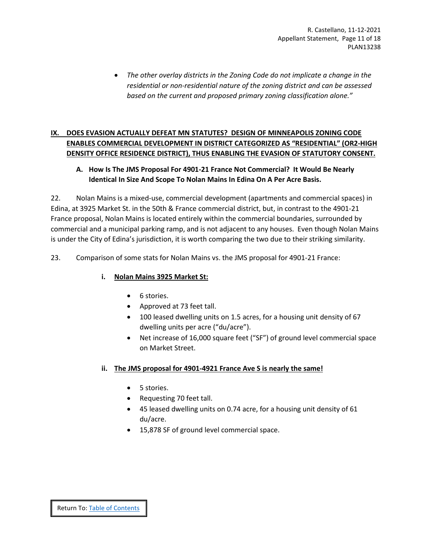• *The other overlay districts in the Zoning Code do not implicate a change in the residential or non-residential nature of the zoning district and can be assessed based on the current and proposed primary zoning classification alone."*

# <span id="page-10-0"></span>**IX. DOES EVASION ACTUALLY DEFEAT MN STATUTES? DESIGN OF MINNEAPOLIS ZONING CODE ENABLES COMMERCIAL DEVELOPMENT IN DISTRICT CATEGORIZED AS "RESIDENTIAL" (OR2-HIGH DENSITY OFFICE RESIDENCE DISTRICT), THUS ENABLING THE EVASION OF STATUTORY CONSENT.**

# <span id="page-10-1"></span>**A. How Is The JMS Proposal For 4901-21 France Not Commercial? It Would Be Nearly Identical In Size And Scope To Nolan Mains In Edina On A Per Acre Basis.**

22. Nolan Mains is a mixed-use, commercial development (apartments and commercial spaces) in Edina, at 3925 Market St. in the 50th & France commercial district, but, in contrast to the 4901-21 France proposal, Nolan Mains is located entirely within the commercial boundaries, surrounded by commercial and a municipal parking ramp, and is not adjacent to any houses. Even though Nolan Mains is under the City of Edina's jurisdiction, it is worth comparing the two due to their striking similarity.

<span id="page-10-2"></span>23. Comparison of some stats for Nolan Mains vs. the JMS proposal for 4901-21 France:

# **i. Nolan Mains 3925 Market St:**

- 6 stories.
- Approved at 73 feet tall.
- 100 leased dwelling units on 1.5 acres, for a housing unit density of 67 dwelling units per acre ("du/acre").
- Net increase of 16,000 square feet ("SF") of ground level commercial space on Market Street.

## <span id="page-10-3"></span>**ii. The JMS proposal for 4901-4921 France Ave S is nearly the same!**

- 5 stories.
- Requesting 70 feet tall.
- 45 leased dwelling units on 0.74 acre, for a housing unit density of 61 du/acre.
- 15,878 SF of ground level commercial space.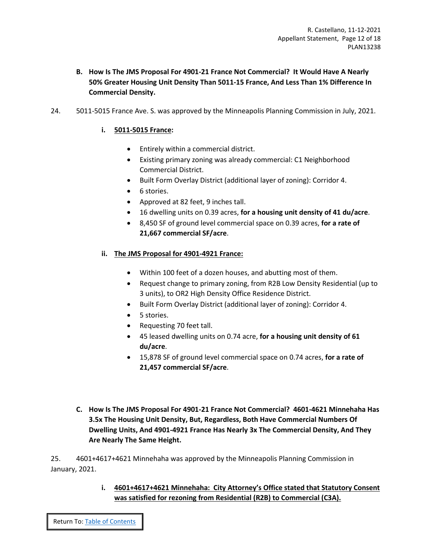- <span id="page-11-0"></span>**B. How Is The JMS Proposal For 4901-21 France Not Commercial? It Would Have A Nearly 50% Greater Housing Unit Density Than 5011-15 France, And Less Than 1% Difference In Commercial Density.**
- <span id="page-11-1"></span>24. 5011-5015 France Ave. S. was approved by the Minneapolis Planning Commission in July, 2021.

## **i. 5011-5015 France:**

- Entirely within a commercial district.
- Existing primary zoning was already commercial: C1 Neighborhood Commercial District.
- Built Form Overlay District (additional layer of zoning): Corridor 4.
- 6 stories.
- Approved at 82 feet, 9 inches tall.
- 16 dwelling units on 0.39 acres, **for a housing unit density of 41 du/acre**.
- 8,450 SF of ground level commercial space on 0.39 acres, **for a rate of 21,667 commercial SF/acre**.

## <span id="page-11-2"></span>**ii. The JMS Proposal for 4901-4921 France:**

- Within 100 feet of a dozen houses, and abutting most of them.
- Request change to primary zoning, from R2B Low Density Residential (up to 3 units), to OR2 High Density Office Residence District.
- Built Form Overlay District (additional layer of zoning): Corridor 4.
- 5 stories.
- Requesting 70 feet tall.
- 45 leased dwelling units on 0.74 acre, **for a housing unit density of 61 du/acre**.
- 15,878 SF of ground level commercial space on 0.74 acres, **for a rate of 21,457 commercial SF/acre**.
- <span id="page-11-3"></span>**C. How Is The JMS Proposal For 4901-21 France Not Commercial? 4601-4621 Minnehaha Has 3.5x The Housing Unit Density, But, Regardless, Both Have Commercial Numbers Of Dwelling Units, And 4901-4921 France Has Nearly 3x The Commercial Density, And They Are Nearly The Same Height.**

<span id="page-11-4"></span>25. 4601+4617+4621 Minnehaha was approved by the Minneapolis Planning Commission in January, 2021.

> **i. 4601+4617+4621 Minnehaha: City Attorney's Office stated that Statutory Consent was satisfied for rezoning from Residential (R2B) to Commercial (C3A).**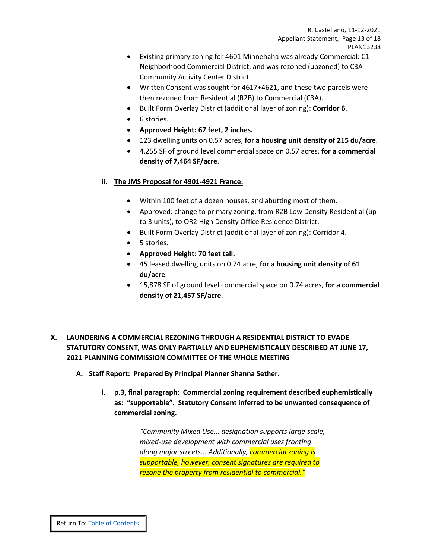- Existing primary zoning for 4601 Minnehaha was already Commercial: C1 Neighborhood Commercial District, and was rezoned (upzoned) to C3A Community Activity Center District.
- Written Consent was sought for 4617+4621, and these two parcels were then rezoned from Residential (R2B) to Commercial (C3A).
- Built Form Overlay District (additional layer of zoning): **Corridor 6**.
- 6 stories.
- **Approved Height: 67 feet, 2 inches.**
- 123 dwelling units on 0.57 acres, **for a housing unit density of 215 du/acre**.
- 4,255 SF of ground level commercial space on 0.57 acres, **for a commercial density of 7,464 SF/acre**.

## <span id="page-12-0"></span>**ii. The JMS Proposal for 4901-4921 France:**

- Within 100 feet of a dozen houses, and abutting most of them.
- Approved: change to primary zoning, from R2B Low Density Residential (up to 3 units), to OR2 High Density Office Residence District.
- Built Form Overlay District (additional layer of zoning): Corridor 4.
- 5 stories.
- **Approved Height: 70 feet tall.**
- 45 leased dwelling units on 0.74 acre, **for a housing unit density of 61 du/acre**.
- 15,878 SF of ground level commercial space on 0.74 acres, **for a commercial density of 21,457 SF/acre**.

# <span id="page-12-1"></span>**X. LAUNDERING A COMMERCIAL REZONING THROUGH A RESIDENTIAL DISTRICT TO EVADE STATUTORY CONSENT, WAS ONLY PARTIALLY AND EUPHEMISTICALLY DESCRIBED AT JUNE 17, 2021 PLANNING COMMISSION COMMITTEE OF THE WHOLE MEETING**

- <span id="page-12-3"></span><span id="page-12-2"></span>**A. Staff Report: Prepared By Principal Planner Shanna Sether.**
	- **i. p.3, final paragraph: Commercial zoning requirement described euphemistically as: "supportable". Statutory Consent inferred to be unwanted consequence of commercial zoning.**

*"Community Mixed Use... designation supports large-scale, mixed-use development with commercial uses fronting along major streets... Additionally, commercial zoning is supportable, however, consent signatures are required to rezone the property from residential to commercial."*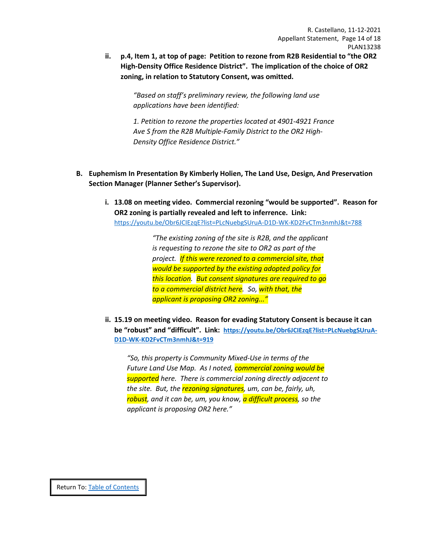<span id="page-13-0"></span> **ii. p.4, Item 1, at top of page: Petition to rezone from R2B Residential to "the OR2 High-Density Office Residence District". The implication of the choice of OR2 zoning, in relation to Statutory Consent, was omitted.**

> *"Based on staff's preliminary review, the following land use applications have been identified:*

*1. Petition to rezone the properties located at 4901-4921 France Ave S from the R2B Multiple-Family District to the OR2 High-Density Office Residence District."*

- <span id="page-13-1"></span>**B. Euphemism In Presentation By Kimberly Holien, The Land Use, Design, And Preservation Section Manager (Planner Sether's Supervisor).**
	- **i. 13.08 on meeting video. Commercial rezoning "would be supported". Reason for OR2 zoning is partially revealed and left to inferrence. Link:** <https://youtu.be/Obr6JCIEzqE?list=PLcNuebgSUruA-D1D-WK-KD2FvCTm3nmhJ&t=788>

*"The existing zoning of the site is R2B, and the applicant is requesting to rezone the site to OR2 as part of the project. If this were rezoned to a commercial site, that would be supported by the existing adopted policy for this location. But consent signatures are required to go to a commercial district here. So, with that, the applicant is proposing OR2 zoning..."*

<span id="page-13-2"></span> **ii. 15.19 on meeting video. Reason for evading Statutory Consent is because it can be "robust" and "difficult". Link: [https://youtu.be/Obr6JCIEzqE?list=PLcNuebgSUruA-](https://youtu.be/Obr6JCIEzqE?list=PLcNuebgSUruA-D1D-WK-KD2FvCTm3nmhJ&t=919)[D1D-WK-KD2FvCTm3nmhJ&t=919](https://youtu.be/Obr6JCIEzqE?list=PLcNuebgSUruA-D1D-WK-KD2FvCTm3nmhJ&t=919)**

*"So, this property is Community Mixed-Use in terms of the Future Land Use Map. As I noted, commercial zoning would be supported here. There is commercial zoning directly adjacent to the site. But, the rezoning signatures, um, can be, fairly, uh, robust, and it can be, um, you know, a difficult process, so the applicant is proposing OR2 here."* 

Return To[: Table of Contents](#page-2-0)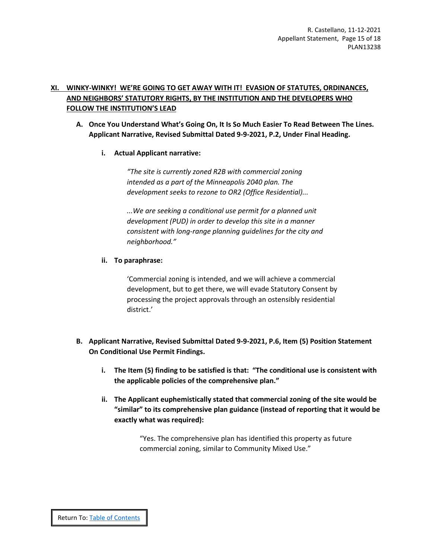## <span id="page-14-0"></span>**XI. WINKY-WINKY! WE'RE GOING TO GET AWAY WITH IT! EVASION OF STATUTES, ORDINANCES, AND NEIGHBORS' STATUTORY RIGHTS, BY THE INSTITUTION AND THE DEVELOPERS WHO FOLLOW THE INSTITUTION'S LEAD**

- <span id="page-14-2"></span><span id="page-14-1"></span>**A. Once You Understand What's Going On, It Is So Much Easier To Read Between The Lines. Applicant Narrative, Revised Submittal Dated 9-9-2021, P.2, Under Final Heading.** 
	- **i. Actual Applicant narrative:**

*"The site is currently zoned R2B with commercial zoning intended as a part of the Minneapolis 2040 plan. The development seeks to rezone to OR2 (Office Residential)...*

*...We are seeking a conditional use permit for a planned unit development (PUD) in order to develop this site in a manner consistent with long-range planning guidelines for the city and neighborhood."*

## <span id="page-14-3"></span>**ii. To paraphrase:**

'Commercial zoning is intended, and we will achieve a commercial development, but to get there, we will evade Statutory Consent by processing the project approvals through an ostensibly residential district.'

- <span id="page-14-6"></span><span id="page-14-5"></span><span id="page-14-4"></span>**B. Applicant Narrative, Revised Submittal Dated 9-9-2021, P.6, Item (5) Position Statement On Conditional Use Permit Findings.** 
	- **i. The Item (5) finding to be satisfied is that: "The conditional use is consistent with the applicable policies of the comprehensive plan."**
	- **ii. The Applicant euphemistically stated that commercial zoning of the site would be "similar" to its comprehensive plan guidance (instead of reporting that it would be exactly what was required):**

"Yes. The comprehensive plan has identified this property as future commercial zoning, similar to Community Mixed Use."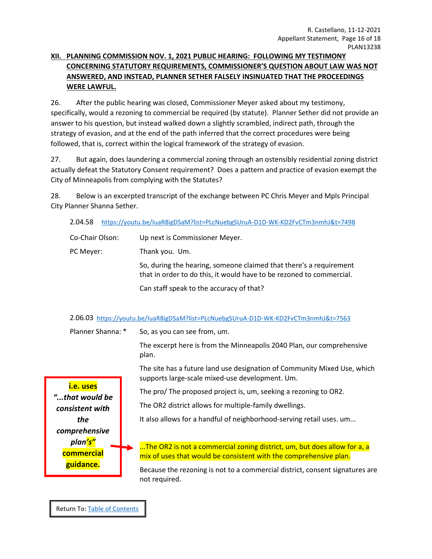# <span id="page-15-0"></span>**XII. PLANNING COMMISSION NOV. 1, 2021 PUBLIC HEARING: FOLLOWING MY TESTIMONY CONCERNING STATUTORY REQUIREMENTS, COMMISSIONER'S QUESTION ABOUT LAW WAS NOT ANSWERED, AND INSTEAD, PLANNER SETHER FALSELY INSINUATED THAT THE PROCEEDINGS WERE LAWFUL.**

26. After the public hearing was closed, Commissioner Meyer asked about my testimony, specifically, would a rezoning to commercial be required (by statute). Planner Sether did not provide an answer to his question, but instead walked down a slightly scrambled, indirect path, through the strategy of evasion, and at the end of the path inferred that the correct procedures were being followed, that is, correct within the logical framework of the strategy of evasion.

27. But again, does laundering a commercial zoning through an ostensibly residential zoning district actually defeat the Statutory Consent requirement? Does a pattern and practice of evasion exempt the City of Minneapolis from complying with the Statutes?

28. Below is an excerpted transcript of the exchange between PC Chris Meyer and Mpls Principal City Planner Shanna Sether.

2.04.58 <https://youtu.be/IuaR8igDSaM?list=PLcNuebgSUruA-D1D-WK-KD2FvCTm3nmhJ&t=7498>

| Co-Chair Olson: | Up next is Commissioner Meyer.                                                                                                             |
|-----------------|--------------------------------------------------------------------------------------------------------------------------------------------|
| PC Meyer:       | Thank you. Um.                                                                                                                             |
|                 | So, during the hearing, someone claimed that there's a requirement<br>that in order to do this, it would have to be rezoned to commercial. |
|                 | Can staff speak to the accuracy of that?                                                                                                   |

## 2.06.03 <https://youtu.be/IuaR8igDSaM?list=PLcNuebgSUruA-D1D-WK-KD2FvCTm3nmhJ&t=7563>

Planner Shanna: \* So, as you can see from, um.

The excerpt here is from the Minneapolis 2040 Plan, our comprehensive plan.

The site has a future land use designation of Community Mixed Use, which supports large-scale mixed-use development. Um.

The pro/ The proposed project is, um, seeking a rezoning to OR2.

The OR2 district allows for multiple-family dwellings.

It also allows for a handful of neighborhood-serving retail uses. um...

...The OR2 is not a commercial zoning district, um, but does allow for a, a mix of uses that would be consistent with the comprehensive plan.

Because the rezoning is not to a commercial district, consent signatures are not required.

**i.e. uses** *"...that would be consistent with the comprehensive plan's"* **commercial guidance.**

Return To[: Table of Contents](#page-2-0)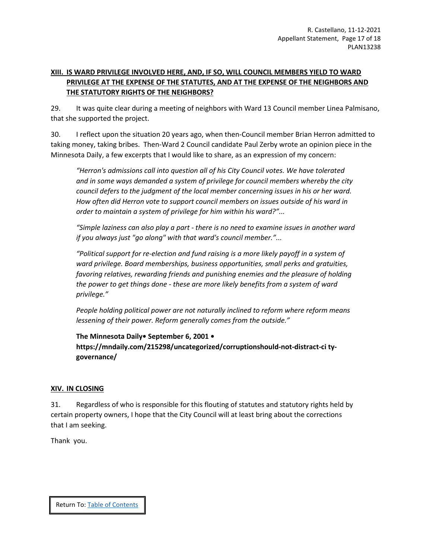# <span id="page-16-0"></span>**XIII. IS WARD PRIVILEGE INVOLVED HERE, AND, IF SO, WILL COUNCIL MEMBERS YIELD TO WARD PRIVILEGE AT THE EXPENSE OF THE STATUTES, AND AT THE EXPENSE OF THE NEIGHBORS AND THE STATUTORY RIGHTS OF THE NEIGHBORS?**

29. It was quite clear during a meeting of neighbors with Ward 13 Council member Linea Palmisano, that she supported the project.

30. I reflect upon the situation 20 years ago, when then-Council member Brian Herron admitted to taking money, taking bribes. Then-Ward 2 Council candidate Paul Zerby wrote an opinion piece in the Minnesota Daily, a few excerpts that I would like to share, as an expression of my concern:

*"Herron's admissions call into question all of his City Council votes. We have tolerated and in some ways demanded a system of privilege for council members whereby the city council defers to the judgment of the local member concerning issues in his or her ward. How often did Herron vote to support council members on issues outside of his ward in order to maintain a system of privilege for him within his ward?"...*

*"Simple laziness can also play a part - there is no need to examine issues in another ward if you always just "go along" with that ward's council member."...*

*"Political support for re-election and fund raising is a more likely payoff in a system of ward privilege. Board memberships, business opportunities, small perks and gratuities, favoring relatives, rewarding friends and punishing enemies and the pleasure of holding the power to get things done - these are more likely benefits from a system of ward privilege."*

*People holding political power are not naturally inclined to reform where reform means lessening of their power. Reform generally comes from the outside."*

**The Minnesota Daily• September 6, 2001 • https://mndaily.com/215298/uncategorized/corruptionshould-not-distract-ci tygovernance/**

## <span id="page-16-1"></span>**XIV. IN CLOSING**

31. Regardless of who is responsible for this flouting of statutes and statutory rights held by certain property owners, I hope that the City Council will at least bring about the corrections that I am seeking.

Thank you.

Return To: [Table of Contents](#page-2-0)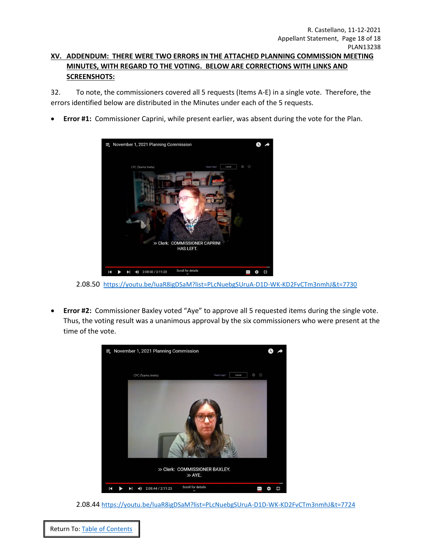## <span id="page-17-0"></span>**XV. ADDENDUM: THERE WERE TWO ERRORS IN THE ATTACHED PLANNING COMMISSION MEETING MINUTES, WITH REGARD TO THE VOTING. BELOW ARE CORRECTIONS WITH LINKS AND SCREENSHOTS:**

32. To note, the commissioners covered all 5 requests (Items A-E) in a single vote. Therefore, the errors identified below are distributed in the Minutes under each of the 5 requests.

• **Error #1:** Commissioner Caprini, while present earlier, was absent during the vote for the Plan.



2.08.50 <https://youtu.be/IuaR8igDSaM?list=PLcNuebgSUruA-D1D-WK-KD2FvCTm3nmhJ&t=7730>

• **Error #2:** Commissioner Baxley voted "Aye" to approve all 5 requested items during the single vote. Thus, the voting result was a unanimous approval by the six commissioners who were present at the time of the vote.



2.08.44 <https://youtu.be/IuaR8igDSaM?list=PLcNuebgSUruA-D1D-WK-KD2FvCTm3nmhJ&t=7724>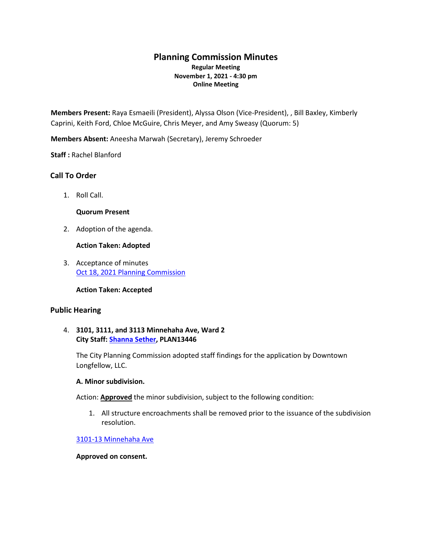# **Planning Commission Minutes Regular Meeting November 1, 2021 - 4:30 pm Online Meeting**

**Members Present:** Raya Esmaeili (President), Alyssa Olson (Vice-President), , Bill Baxley, Kimberly Caprini, Keith Ford, Chloe McGuire, Chris Meyer, and Amy Sweasy (Quorum: 5)

**Members Absent:** Aneesha Marwah (Secretary), Jeremy Schroeder

**Staff :** Rachel Blanford

## **Call To Order**

1. Roll Call.

## **Quorum Present**

2. Adoption of the agenda.

#### **Action Taken: Adopted**

3. Acceptance of minutes [Oct 18, 2021 Planning Commission](https://lims.minneapolismn.gov/Download/CommitteeReport/2194/sample.pdf)

**Action Taken: Accepted** 

## **Public Hearing**

## 4. **3101, 3111, and 3113 Minnehaha Ave, Ward 2 City Staff: [Shanna Sether,](mailto:Shanna.Sether@minneapolismn.gov) PLAN13446**

The City Planning Commission adopted staff findings for the application by Downtown Longfellow, LLC.

#### **A. Minor subdivision.**

Action: **Approved** the minor subdivision, subject to the following condition:

1. All structure encroachments shall be removed prior to the issuance of the subdivision resolution.

## [3101-13 Minnehaha Ave](https://lims.minneapolismn.gov/download/Agenda/2820/RPT-PLAN13446-3101-13%20Minnehaha%20Ave.pdf/62820/2840/3101-13%20Minnehaha%20Ave)

**Approved on consent.**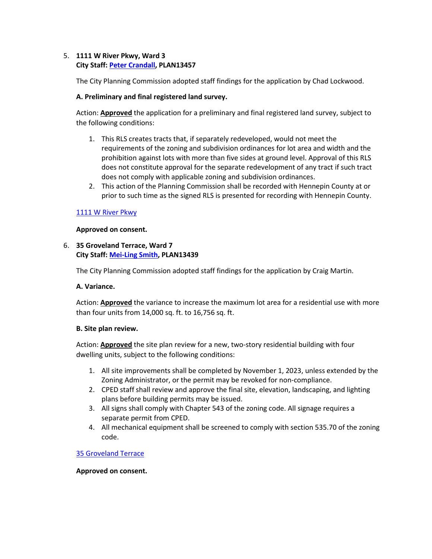## 5. **1111 W River Pkwy, Ward 3 City Staff: [Peter Crandall,](mailto:Peter.Crandall@minneapolismn.gov) PLAN13457**

The City Planning Commission adopted staff findings for the application by Chad Lockwood.

## **A. Preliminary and final registered land survey.**

Action: **Approved** the application for a preliminary and final registered land survey, subject to the following conditions:

- 1. This RLS creates tracts that, if separately redeveloped, would not meet the requirements of the zoning and subdivision ordinances for lot area and width and the prohibition against lots with more than five sides at ground level. Approval of this RLS does not constitute approval for the separate redevelopment of any tract if such tract does not comply with applicable zoning and subdivision ordinances.
- 2. This action of the Planning Commission shall be recorded with Hennepin County at or prior to such time as the signed RLS is presented for recording with Hennepin County.

## [1111 W River Pkwy](https://lims.minneapolismn.gov/download/Agenda/2821/RPT-PLAN13457-1111%20W%20River%20Pkwy.pdf/62821/2840/1111%20W%20River%20Pkwy)

## **Approved on consent.**

## 6. **35 Groveland Terrace, Ward 7 City Staff: [Mei-Ling Smith,](mailto:mei-ling.smith@minneapolismn.gov) PLAN13439**

The City Planning Commission adopted staff findings for the application by Craig Martin.

## **A. Variance.**

Action: **Approved** the variance to increase the maximum lot area for a residential use with more than four units from 14,000 sq. ft. to 16,756 sq. ft.

## **B. Site plan review.**

Action: **Approved** the site plan review for a new, two-story residential building with four dwelling units, subject to the following conditions:

- 1. All site improvements shall be completed by November 1, 2023, unless extended by the Zoning Administrator, or the permit may be revoked for non-compliance.
- 2. CPED staff shall review and approve the final site, elevation, landscaping, and lighting plans before building permits may be issued.
- 3. All signs shall comply with Chapter 543 of the zoning code. All signage requires a separate permit from CPED.
- 4. All mechanical equipment shall be screened to comply with section 535.70 of the zoning code.

## [35 Groveland Terrace](https://lims.minneapolismn.gov/download/Agenda/2822/RPT-PLAN13439-35%20Groveland%20Terrace.pdf/62822/2840/35%20Groveland%20Terrace)

## **Approved on consent.**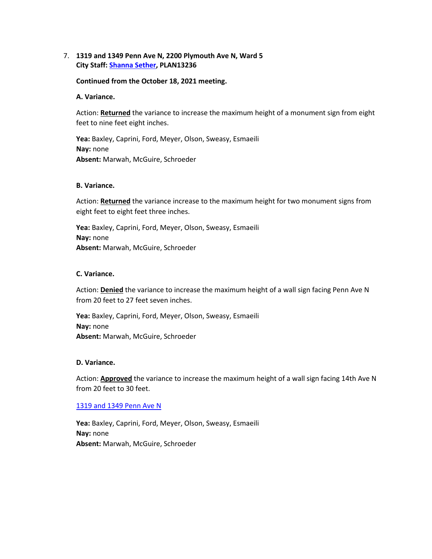## 7. **1319 and 1349 Penn Ave N, 2200 Plymouth Ave N, Ward 5 City Staff: [Shanna Sether,](mailto:shanna.sether@minneapolismn.gov) PLAN13236**

#### **Continued from the October 18, 2021 meeting.**

#### **A. Variance.**

Action: **Returned** the variance to increase the maximum height of a monument sign from eight feet to nine feet eight inches.

**Yea:** Baxley, Caprini, Ford, Meyer, Olson, Sweasy, Esmaeili **Nay:** none **Absent:** Marwah, McGuire, Schroeder

#### **B. Variance.**

Action: **Returned** the variance increase to the maximum height for two monument signs from eight feet to eight feet three inches.

**Yea:** Baxley, Caprini, Ford, Meyer, Olson, Sweasy, Esmaeili **Nay:** none **Absent:** Marwah, McGuire, Schroeder

#### **C. Variance.**

Action: **Denied** the variance to increase the maximum height of a wall sign facing Penn Ave N from 20 feet to 27 feet seven inches.

**Yea:** Baxley, Caprini, Ford, Meyer, Olson, Sweasy, Esmaeili **Nay:** none **Absent:** Marwah, McGuire, Schroeder

#### **D. Variance.**

Action: **Approved** the variance to increase the maximum height of a wall sign facing 14th Ave N from 20 feet to 30 feet.

#### [1319 and 1349 Penn Ave N](https://lims.minneapolismn.gov/download/Agenda/2823/RPT-PLAN13236-1319%20and%201349%20Penn%20Ave%20N.pdf/62823/2840/1319%20and%201349%20Penn%20Ave%20N)

**Yea:** Baxley, Caprini, Ford, Meyer, Olson, Sweasy, Esmaeili **Nay:** none **Absent:** Marwah, McGuire, Schroeder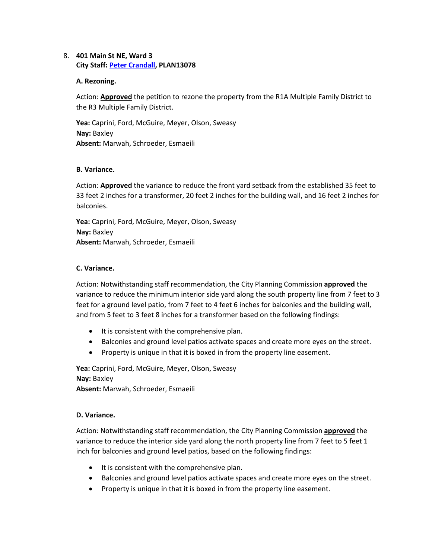## 8. **401 Main St NE, Ward 3 City Staff: [Peter Crandall,](mailto:Peter.Crandall@minneapolismn.gov) PLAN13078**

#### **A. Rezoning.**

Action: **Approved** the petition to rezone the property from the R1A Multiple Family District to the R3 Multiple Family District.

**Yea:** Caprini, Ford, McGuire, Meyer, Olson, Sweasy **Nay:** Baxley **Absent:** Marwah, Schroeder, Esmaeili

#### **B. Variance.**

Action: **Approved** the variance to reduce the front yard setback from the established 35 feet to 33 feet 2 inches for a transformer, 20 feet 2 inches for the building wall, and 16 feet 2 inches for balconies.

**Yea:** Caprini, Ford, McGuire, Meyer, Olson, Sweasy **Nay:** Baxley **Absent:** Marwah, Schroeder, Esmaeili

#### **C. Variance.**

Action: Notwithstanding staff recommendation, the City Planning Commission **approved** the variance to reduce the minimum interior side yard along the south property line from 7 feet to 3 feet for a ground level patio, from 7 feet to 4 feet 6 inches for balconies and the building wall, and from 5 feet to 3 feet 8 inches for a transformer based on the following findings:

- It is consistent with the comprehensive plan.
- Balconies and ground level patios activate spaces and create more eyes on the street.
- Property is unique in that it is boxed in from the property line easement.

**Yea:** Caprini, Ford, McGuire, Meyer, Olson, Sweasy **Nay:** Baxley **Absent:** Marwah, Schroeder, Esmaeili

## **D. Variance.**

Action: Notwithstanding staff recommendation, the City Planning Commission **approved** the variance to reduce the interior side yard along the north property line from 7 feet to 5 feet 1 inch for balconies and ground level patios, based on the following findings:

- It is consistent with the comprehensive plan.
- Balconies and ground level patios activate spaces and create more eyes on the street.
- Property is unique in that it is boxed in from the property line easement.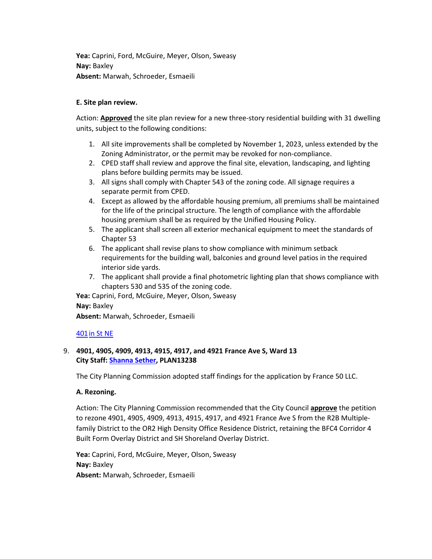**Yea:** Caprini, Ford, McGuire, Meyer, Olson, Sweasy **Nay:** Baxley **Absent:** Marwah, Schroeder, Esmaeili

## **E. Site plan review.**

Action: **Approved** the site plan review for a new three-story residential building with 31 dwelling units, subject to the following conditions:

- 1. All site improvements shall be completed by November 1, 2023, unless extended by the Zoning Administrator, or the permit may be revoked for non-compliance.
- 2. CPED staff shall review and approve the final site, elevation, landscaping, and lighting plans before building permits may be issued.
- 3. All signs shall comply with Chapter 543 of the zoning code. All signage requires a separate permit from CPED.
- 4. Except as allowed by the affordable housing premium, all premiums shall be maintained for the life of the principal structure. The length of compliance with the affordable housing premium shall be as required by the Unified Housing Policy.
- 5. The applicant shall screen all exterior mechanical equipment to meet the standards of Chapter 53
- 6. The applicant shall revise plans to show compliance with minimum setback requirements for the building wall, balconies and ground level patios in the required interior side yards.
- 7. The applicant shall provide a final photometric lighting plan that shows compliance with chapters 530 and 535 of the zoning code.

**Yea:** Caprini, Ford, McGuire, Meyer, Olson, Sweasy **Nay:** Baxley **Absent:** Marwah, Schroeder, Esmaeili

## 40[1in St NE](https://lims.minneapolismn.gov/download/Agenda/2824/RPT-PLAN13078-401%20Main%20St%20NE.pdf/62824/2840/401%20Main%20St%20NE)

## 9. **4901, 4905, 4909, 4913, 4915, 4917, and 4921 France Ave S, Ward 13 City Staff: [Shanna Sether,](mailto:Shanna.Sether@minneapolismn.gov) PLAN13238**

The City Planning Commission adopted staff findings for the application by France 50 LLC.

## **A. Rezoning.**

Action: The City Planning Commission recommended that the City Council **approve** the petition to rezone 4901, 4905, 4909, 4913, 4915, 4917, and 4921 France Ave S from the R2B Multiplefamily District to the OR2 High Density Office Residence District, retaining the BFC4 Corridor 4 Built Form Overlay District and SH Shoreland Overlay District.

**Yea:** Caprini, Ford, McGuire, Meyer, Olson, Sweasy **Nay:** Baxley **Absent:** Marwah, Schroeder, Esmaeili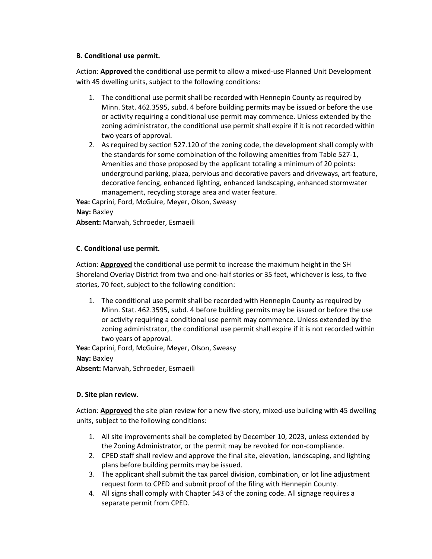## **B. Conditional use permit.**

Action: **Approved** the conditional use permit to allow a mixed-use Planned Unit Development with 45 dwelling units, subject to the following conditions:

- 1. The conditional use permit shall be recorded with Hennepin County as required by Minn. Stat. 462.3595, subd. 4 before building permits may be issued or before the use or activity requiring a conditional use permit may commence. Unless extended by the zoning administrator, the conditional use permit shall expire if it is not recorded within two years of approval.
- 2. As required by section 527.120 of the zoning code, the development shall comply with the standards for some combination of the following amenities from Table 527-1, Amenities and those proposed by the applicant totaling a minimum of 20 points: underground parking, plaza, pervious and decorative pavers and driveways, art feature, decorative fencing, enhanced lighting, enhanced landscaping, enhanced stormwater management, recycling storage area and water feature.

**Yea:** Caprini, Ford, McGuire, Meyer, Olson, Sweasy

```
Nay: Baxley
```
**Absent:** Marwah, Schroeder, Esmaeili

# **C. Conditional use permit.**

Action: **Approved** the conditional use permit to increase the maximum height in the SH Shoreland Overlay District from two and one-half stories or 35 feet, whichever is less, to five stories, 70 feet, subject to the following condition:

1. The conditional use permit shall be recorded with Hennepin County as required by Minn. Stat. 462.3595, subd. 4 before building permits may be issued or before the use or activity requiring a conditional use permit may commence. Unless extended by the zoning administrator, the conditional use permit shall expire if it is not recorded within two years of approval.

**Yea:** Caprini, Ford, McGuire, Meyer, Olson, Sweasy **Nay:** Baxley

**Absent:** Marwah, Schroeder, Esmaeili

# **D. Site plan review.**

Action: **Approved** the site plan review for a new five-story, mixed-use building with 45 dwelling units, subject to the following conditions:

- 1. All site improvements shall be completed by December 10, 2023, unless extended by the Zoning Administrator, or the permit may be revoked for non-compliance.
- 2. CPED staff shall review and approve the final site, elevation, landscaping, and lighting plans before building permits may be issued.
- 3. The applicant shall submit the tax parcel division, combination, or lot line adjustment request form to CPED and submit proof of the filing with Hennepin County.
- 4. All signs shall comply with Chapter 543 of the zoning code. All signage requires a separate permit from CPED.